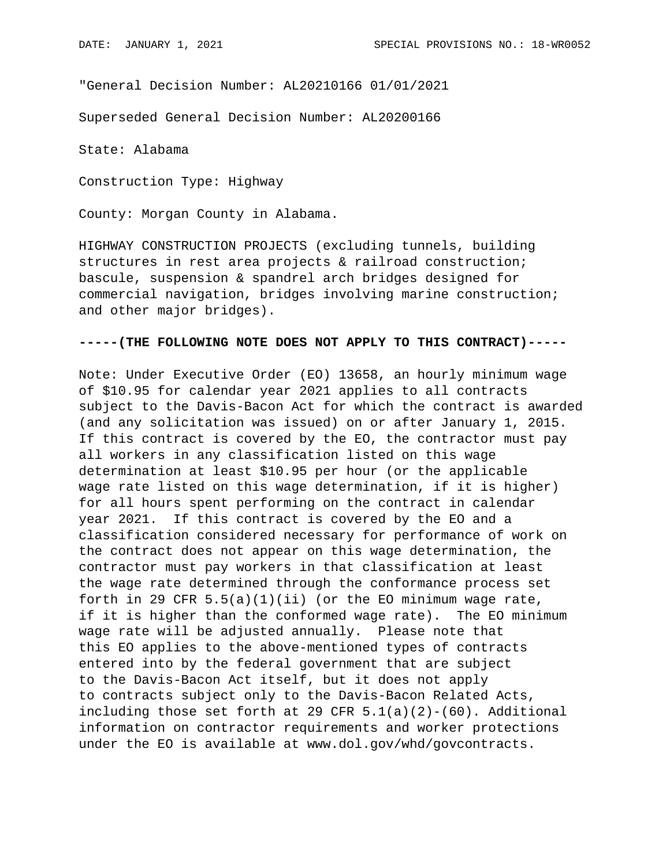"General Decision Number: AL20210166 01/01/2021

Superseded General Decision Number: AL20200166

State: Alabama

Construction Type: Highway

County: Morgan County in Alabama.

HIGHWAY CONSTRUCTION PROJECTS (excluding tunnels, building structures in rest area projects & railroad construction; bascule, suspension & spandrel arch bridges designed for commercial navigation, bridges involving marine construction; and other major bridges).

## **-----(THE FOLLOWING NOTE DOES NOT APPLY TO THIS CONTRACT)-----**

Note: Under Executive Order (EO) 13658, an hourly minimum wage of \$10.95 for calendar year 2021 applies to all contracts subject to the Davis-Bacon Act for which the contract is awarded (and any solicitation was issued) on or after January 1, 2015. If this contract is covered by the EO, the contractor must pay all workers in any classification listed on this wage determination at least \$10.95 per hour (or the applicable wage rate listed on this wage determination, if it is higher) for all hours spent performing on the contract in calendar year 2021. If this contract is covered by the EO and a classification considered necessary for performance of work on the contract does not appear on this wage determination, the contractor must pay workers in that classification at least the wage rate determined through the conformance process set forth in 29 CFR  $5.5(a)(1)(ii)$  (or the EO minimum wage rate, if it is higher than the conformed wage rate). The EO minimum wage rate will be adjusted annually. Please note that this EO applies to the above-mentioned types of contracts entered into by the federal government that are subject to the Davis-Bacon Act itself, but it does not apply to contracts subject only to the Davis-Bacon Related Acts, including those set forth at 29 CFR  $5.1(a)(2)-(60)$ . Additional information on contractor requirements and worker protections under the EO is available at www.dol.gov/whd/govcontracts.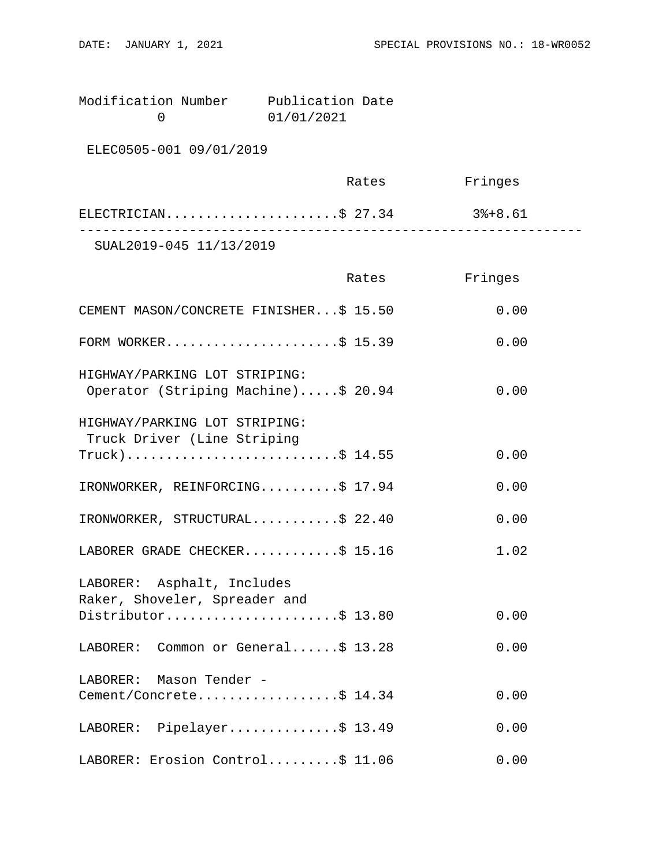Modification Number Publication Date<br>0 01/01/2021 0 01/01/2021

ELEC0505-001 09/01/2019

|                         | Rates | Fringes |  |
|-------------------------|-------|---------|--|
| ELECTRICIAN\$ 27.34     |       | 3%+8.61 |  |
| SUAL2019-045 11/13/2019 |       |         |  |

|                                                                      | Rates | Fringes |
|----------------------------------------------------------------------|-------|---------|
| CEMENT MASON/CONCRETE FINISHER\$ 15.50                               |       | 0.00    |
| FORM WORKER\$ 15.39                                                  |       | 0.00    |
| HIGHWAY/PARKING LOT STRIPING:<br>Operator (Striping Machine)\$ 20.94 |       | 0.00    |
| HIGHWAY/PARKING LOT STRIPING:<br>Truck Driver (Line Striping         |       |         |
| $True k)$ \$ 14.55                                                   |       | 0.00    |
| IRONWORKER, REINFORCING\$ 17.94                                      |       | 0.00    |
| IRONWORKER, STRUCTURAL\$ 22.40                                       |       | 0.00    |
| LABORER GRADE CHECKER\$ 15.16                                        |       | 1.02    |
| LABORER: Asphalt, Includes<br>Raker, Shoveler, Spreader and          |       |         |
| Distributor\$ 13.80                                                  |       | 0.00    |
| LABORER: Common or General\$ 13.28                                   |       | 0.00    |
| LABORER: Mason Tender -                                              |       |         |
| Cement/Concrete\$ 14.34                                              |       | 0.00    |
| LABORER: Pipelayer\$ 13.49                                           |       | 0.00    |
| LABORER: Erosion Control\$ 11.06                                     |       | 0.00    |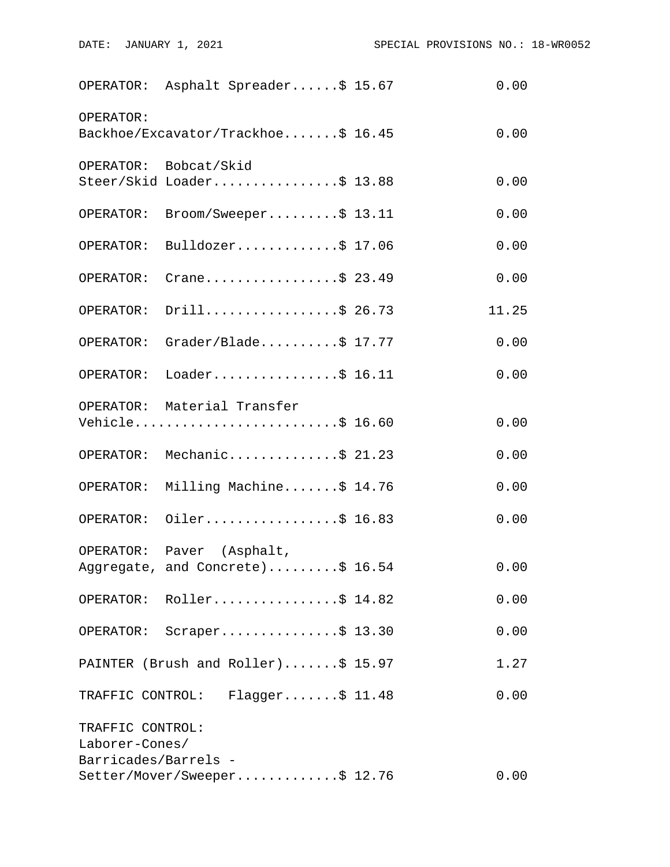|                                    | OPERATOR: Asphalt Spreader\$ 15.67                            | 0.00  |
|------------------------------------|---------------------------------------------------------------|-------|
| OPERATOR:                          | Backhoe/Excavator/Trackhoe\$ 16.45                            | 0.00  |
|                                    | OPERATOR: Bobcat/Skid<br>Steer/Skid Loader\$ 13.88            | 0.00  |
|                                    | OPERATOR: Broom/Sweeper\$ 13.11                               | 0.00  |
| OPERATOR:                          | Bulldozer\$ $17.06$                                           | 0.00  |
| OPERATOR:                          | Crane\$ 23.49                                                 | 0.00  |
|                                    | OPERATOR: Drill\$ 26.73                                       | 11.25 |
|                                    | OPERATOR: Grader/Blade\$ 17.77                                | 0.00  |
|                                    | OPERATOR: Loader\$ 16.11                                      | 0.00  |
|                                    | OPERATOR: Material Transfer<br>Vehicle\$ 16.60                | 0.00  |
|                                    | OPERATOR: Mechanic\$ 21.23                                    | 0.00  |
|                                    | OPERATOR: Milling Machine\$ 14.76                             | 0.00  |
|                                    | OPERATOR: Oiler\$ 16.83                                       | 0.00  |
|                                    | OPERATOR: Paver (Asphalt,<br>Aggregate, and Concrete)\$ 16.54 | 0.00  |
|                                    | OPERATOR: Roller\$ 14.82                                      | 0.00  |
|                                    | OPERATOR: Scraper\$ 13.30                                     | 0.00  |
|                                    | PAINTER (Brush and Roller)\$ 15.97                            | 1.27  |
|                                    | TRAFFIC CONTROL: Flagger\$ 11.48                              | 0.00  |
| TRAFFIC CONTROL:<br>Laborer-Cones/ |                                                               |       |
| Barricades/Barrels -               | Setter/Mover/Sweeper\$ 12.76                                  | 0.00  |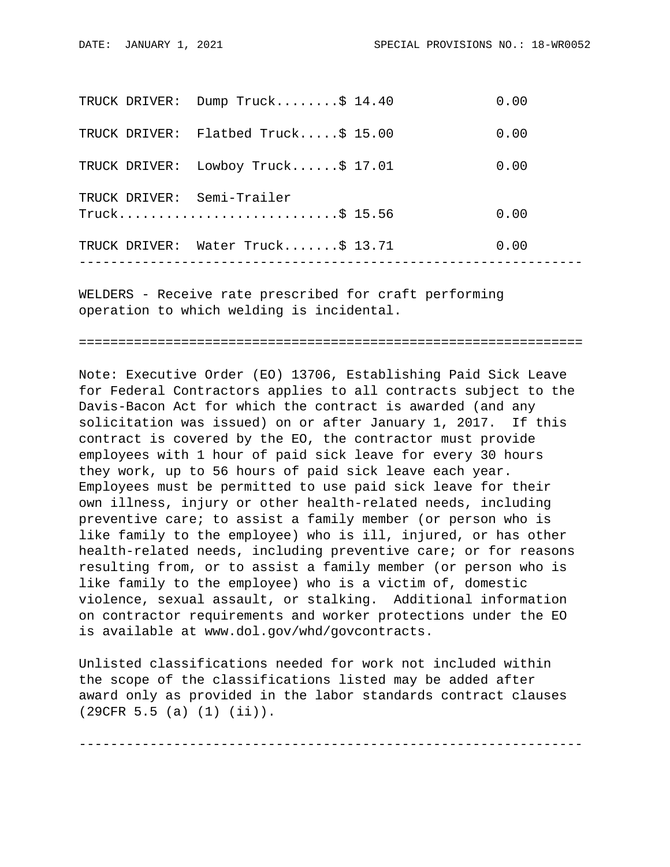| TRUCK DRIVER: | Dump $Truck$ \$ 14.40             | 0.00 |
|---------------|-----------------------------------|------|
| TRUCK DRIVER: | Flatbed Truck $$15.00$            | 0.00 |
| TRUCK DRIVER: | Lowboy Truck $$17.01$             | 0.00 |
|               | TRUCK DRIVER: Semi-Trailer        | 0.00 |
|               | TRUCK DRIVER: Water Truck\$ 13.71 | 0.00 |
|               |                                   |      |

WELDERS - Receive rate prescribed for craft performing operation to which welding is incidental.

================================================================

Note: Executive Order (EO) 13706, Establishing Paid Sick Leave for Federal Contractors applies to all contracts subject to the Davis-Bacon Act for which the contract is awarded (and any solicitation was issued) on or after January 1, 2017. If this contract is covered by the EO, the contractor must provide employees with 1 hour of paid sick leave for every 30 hours they work, up to 56 hours of paid sick leave each year. Employees must be permitted to use paid sick leave for their own illness, injury or other health-related needs, including preventive care; to assist a family member (or person who is like family to the employee) who is ill, injured, or has other health-related needs, including preventive care; or for reasons resulting from, or to assist a family member (or person who is like family to the employee) who is a victim of, domestic violence, sexual assault, or stalking. Additional information on contractor requirements and worker protections under the EO is available at www.dol.gov/whd/govcontracts.

Unlisted classifications needed for work not included within the scope of the classifications listed may be added after award only as provided in the labor standards contract clauses (29CFR 5.5 (a) (1) (ii)).

----------------------------------------------------------------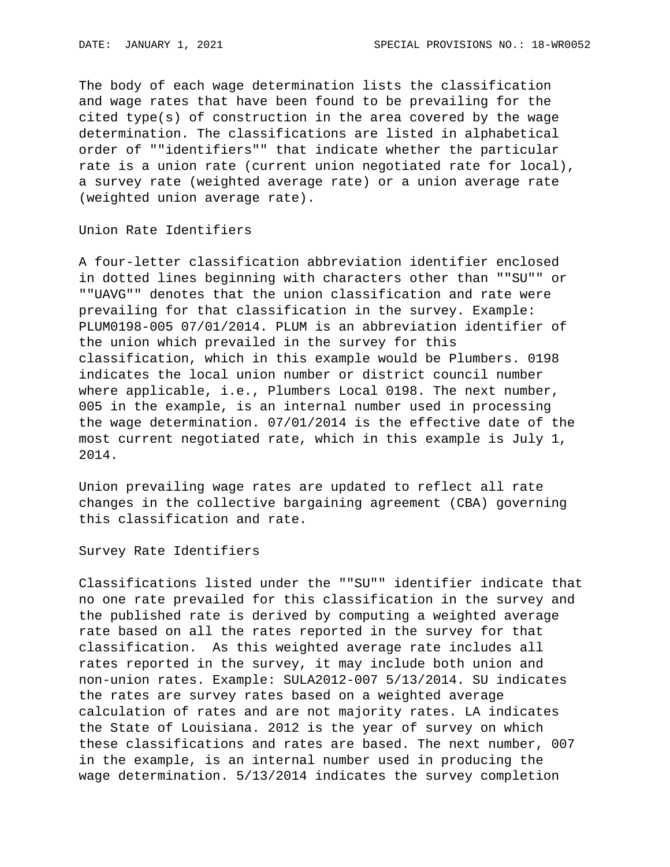The body of each wage determination lists the classification and wage rates that have been found to be prevailing for the cited type(s) of construction in the area covered by the wage determination. The classifications are listed in alphabetical order of ""identifiers"" that indicate whether the particular rate is a union rate (current union negotiated rate for local), a survey rate (weighted average rate) or a union average rate (weighted union average rate).

Union Rate Identifiers

A four-letter classification abbreviation identifier enclosed in dotted lines beginning with characters other than ""SU"" or ""UAVG"" denotes that the union classification and rate were prevailing for that classification in the survey. Example: PLUM0198-005 07/01/2014. PLUM is an abbreviation identifier of the union which prevailed in the survey for this classification, which in this example would be Plumbers. 0198 indicates the local union number or district council number where applicable, i.e., Plumbers Local 0198. The next number, 005 in the example, is an internal number used in processing the wage determination. 07/01/2014 is the effective date of the most current negotiated rate, which in this example is July 1, 2014.

Union prevailing wage rates are updated to reflect all rate changes in the collective bargaining agreement (CBA) governing this classification and rate.

Survey Rate Identifiers

Classifications listed under the ""SU"" identifier indicate that no one rate prevailed for this classification in the survey and the published rate is derived by computing a weighted average rate based on all the rates reported in the survey for that classification. As this weighted average rate includes all rates reported in the survey, it may include both union and non-union rates. Example: SULA2012-007 5/13/2014. SU indicates the rates are survey rates based on a weighted average calculation of rates and are not majority rates. LA indicates the State of Louisiana. 2012 is the year of survey on which these classifications and rates are based. The next number, 007 in the example, is an internal number used in producing the wage determination. 5/13/2014 indicates the survey completion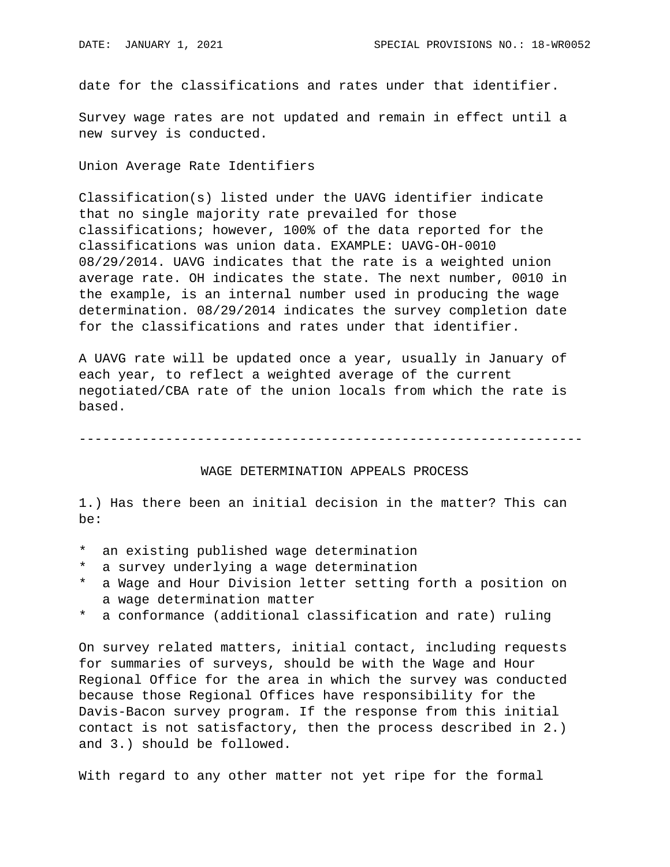date for the classifications and rates under that identifier.

Survey wage rates are not updated and remain in effect until a new survey is conducted.

Union Average Rate Identifiers

Classification(s) listed under the UAVG identifier indicate that no single majority rate prevailed for those classifications; however, 100% of the data reported for the classifications was union data. EXAMPLE: UAVG-OH-0010 08/29/2014. UAVG indicates that the rate is a weighted union average rate. OH indicates the state. The next number, 0010 in the example, is an internal number used in producing the wage determination. 08/29/2014 indicates the survey completion date for the classifications and rates under that identifier.

A UAVG rate will be updated once a year, usually in January of each year, to reflect a weighted average of the current negotiated/CBA rate of the union locals from which the rate is based.

----------------------------------------------------------------

## WAGE DETERMINATION APPEALS PROCESS

1.) Has there been an initial decision in the matter? This can be:

- \* an existing published wage determination
- \* a survey underlying a wage determination
- a Wage and Hour Division letter setting forth a position on a wage determination matter
- \* a conformance (additional classification and rate) ruling

On survey related matters, initial contact, including requests for summaries of surveys, should be with the Wage and Hour Regional Office for the area in which the survey was conducted because those Regional Offices have responsibility for the Davis-Bacon survey program. If the response from this initial contact is not satisfactory, then the process described in 2.) and 3.) should be followed.

With regard to any other matter not yet ripe for the formal